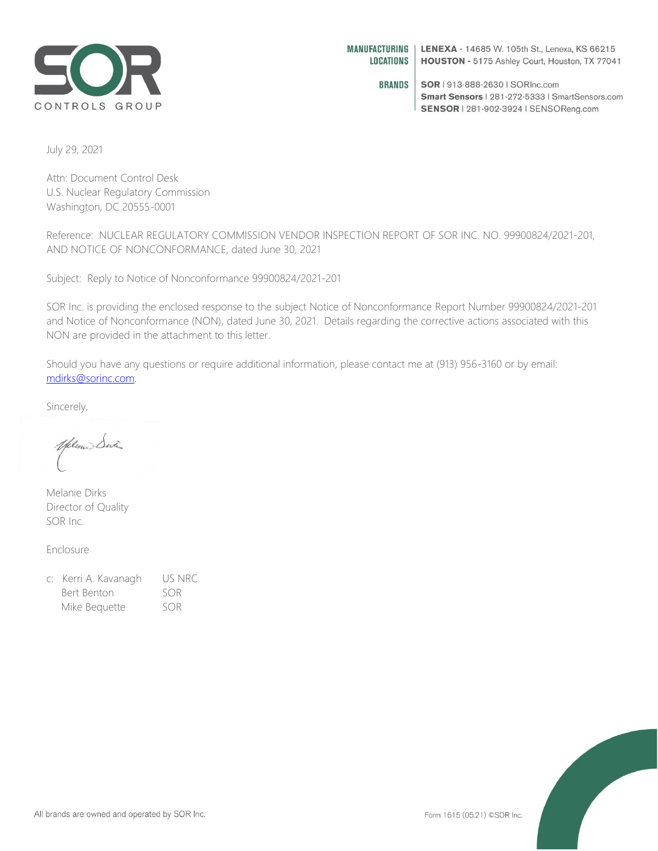

**BRANDS** SOR | 913-888-2630 | SORInc.com Smart Sensors | 281-272-5333 | SmartSensors.com SENSOR | 281-902-3924 | SENSOReng.com

July 29, 2021

Attn: Document Control Desk U.S. Nuclear Regulatory Commission Washington, DC 20555-0001

Reference: NUCLEAR REGULATORY COMMISSION VENDOR INSPECTION REPORT OF SOR INC. NO. 99900824/2021-201, AND NOTICE OF NONCONFORMANCE, dated June 30, 2021

Subject: Reply to Notice of Nonconformance 99900824/2021-201

SOR Inc. is providing the enclosed response to the subject Notice of Nonconformance Report Number 99900824/2021-201 and Notice of Nonconformance (NON), dated June 30, 2021. Details regarding the corrective actions associated with this NON are provided in the attachment to this letter.

Should you have any questions or require additional information, please contact me at (913) 956-3160 or by email: [mdirks@sorinc.com.](mailto:mdirks@sorinc.com)

Sincerely,

Yelen Six

Melanie Dirks Director of Quality SOR Inc.

Enclosure

| c: Kerri A. Kavanagh | US NRC |
|----------------------|--------|
| Bert Benton          | SOR    |
| Mike Bequette        | SOR    |